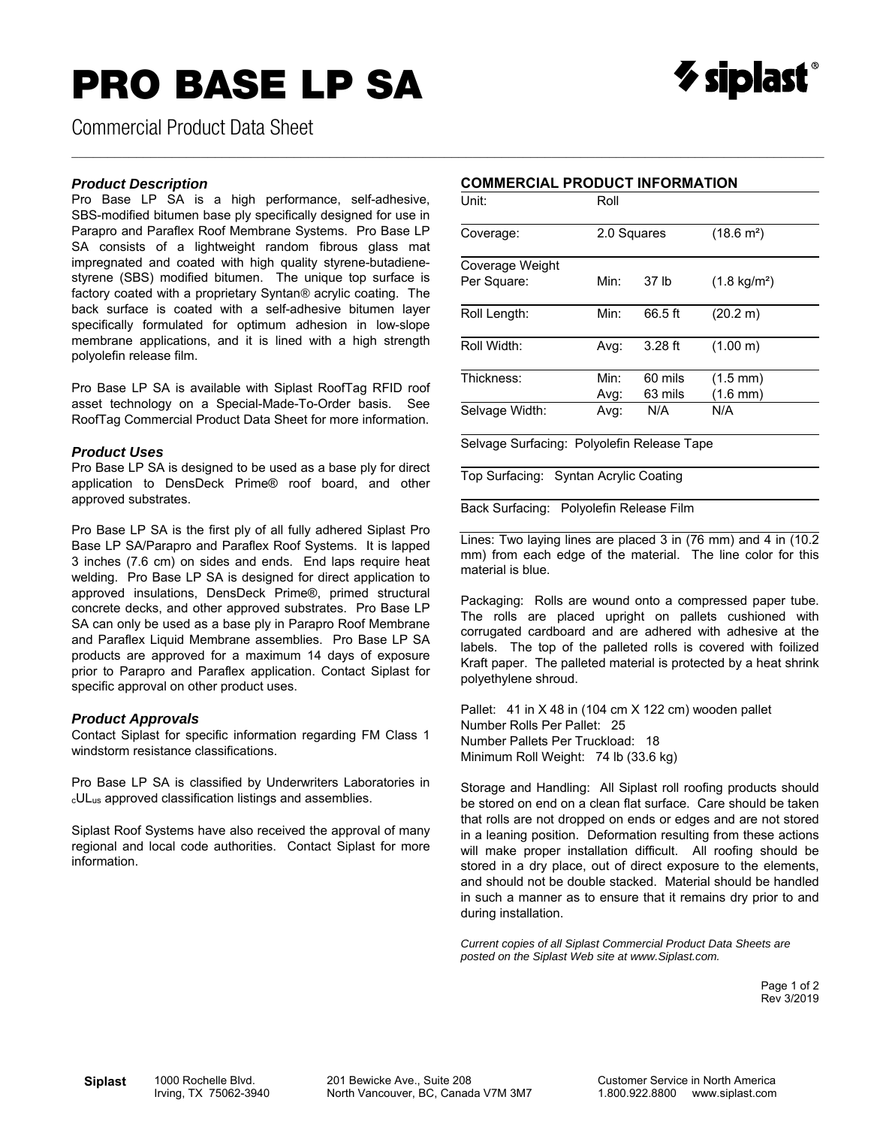# **PRO BASE LP SA**



Commercial Product Data Sheet

#### *Product Description*

Pro Base LP SA is a high performance, self-adhesive, SBS-modified bitumen base ply specifically designed for use in Parapro and Paraflex Roof Membrane Systems. Pro Base LP SA consists of a lightweight random fibrous glass mat impregnated and coated with high quality styrene-butadienestyrene (SBS) modified bitumen. The unique top surface is factory coated with a proprietary Syntan*®* acrylic coating. The back surface is coated with a self-adhesive bitumen layer specifically formulated for optimum adhesion in low-slope membrane applications, and it is lined with a high strength polyolefin release film.

Pro Base LP SA is available with Siplast RoofTag RFID roof asset technology on a Special-Made-To-Order basis. See RoofTag Commercial Product Data Sheet for more information.

#### *Product Uses*

Pro Base LP SA is designed to be used as a base ply for direct application to DensDeck Prime® roof board, and other approved substrates.

Pro Base LP SA is the first ply of all fully adhered Siplast Pro Base LP SA/Parapro and Paraflex Roof Systems. It is lapped 3 inches (7.6 cm) on sides and ends. End laps require heat welding. Pro Base LP SA is designed for direct application to approved insulations, DensDeck Prime®, primed structural concrete decks, and other approved substrates. Pro Base LP SA can only be used as a base ply in Parapro Roof Membrane and Paraflex Liquid Membrane assemblies. Pro Base LP SA products are approved for a maximum 14 days of exposure prior to Parapro and Paraflex application. Contact Siplast for specific approval on other product uses.

#### *Product Approvals*

Contact Siplast for specific information regarding FM Class 1 windstorm resistance classifications.

Pro Base LP SA is classified by Underwriters Laboratories in cULus approved classification listings and assemblies.

Siplast Roof Systems have also received the approval of many regional and local code authorities. Contact Siplast for more information.

|  |  | <b>COMMERCIAL PRODUCT INFORMATION</b> |
|--|--|---------------------------------------|
|--|--|---------------------------------------|

 $\_$  , and the state of the state of the state of the state of the state of the state of the state of the state of the state of the state of the state of the state of the state of the state of the state of the state of the

| Unit:                          | Roll         |                    |                                          |  |
|--------------------------------|--------------|--------------------|------------------------------------------|--|
| Coverage:                      | 2.0 Squares  |                    | $(18.6 \text{ m}^2)$                     |  |
| Coverage Weight<br>Per Square: | Min:         | 37 lb              | $(1.8 \text{ kg/m}^2)$                   |  |
| Roll Length:                   | Min:         | 66.5 ft            | (20.2 m)                                 |  |
| Roll Width:                    | Avg:         | $3.28$ ft          | (1.00 m)                                 |  |
| Thickness:                     | Min:<br>Avg: | 60 mils<br>63 mils | $(1.5 \text{ mm})$<br>$(1.6 \text{ mm})$ |  |
| Selvage Width:                 | Avg:         | N/A                | N/A                                      |  |

Selvage Surfacing: Polyolefin Release Tape

Top Surfacing: Syntan Acrylic Coating

Back Surfacing: Polyolefin Release Film

Lines: Two laying lines are placed 3 in (76 mm) and 4 in (10.2 mm) from each edge of the material. The line color for this material is blue.

Packaging: Rolls are wound onto a compressed paper tube. The rolls are placed upright on pallets cushioned with corrugated cardboard and are adhered with adhesive at the labels. The top of the palleted rolls is covered with foilized Kraft paper. The palleted material is protected by a heat shrink polyethylene shroud.

Pallet: 41 in X 48 in (104 cm X 122 cm) wooden pallet Number Rolls Per Pallet: 25 Number Pallets Per Truckload: 18 Minimum Roll Weight: 74 lb (33.6 kg)

Storage and Handling: All Siplast roll roofing products should be stored on end on a clean flat surface. Care should be taken that rolls are not dropped on ends or edges and are not stored in a leaning position. Deformation resulting from these actions will make proper installation difficult. All roofing should be stored in a dry place, out of direct exposure to the elements, and should not be double stacked. Material should be handled in such a manner as to ensure that it remains dry prior to and during installation.

*Current copies of all Siplast Commercial Product Data Sheets are posted on the Siplast Web site at www.Siplast.com.* 

> Page 1 of 2 Rev 3/2019